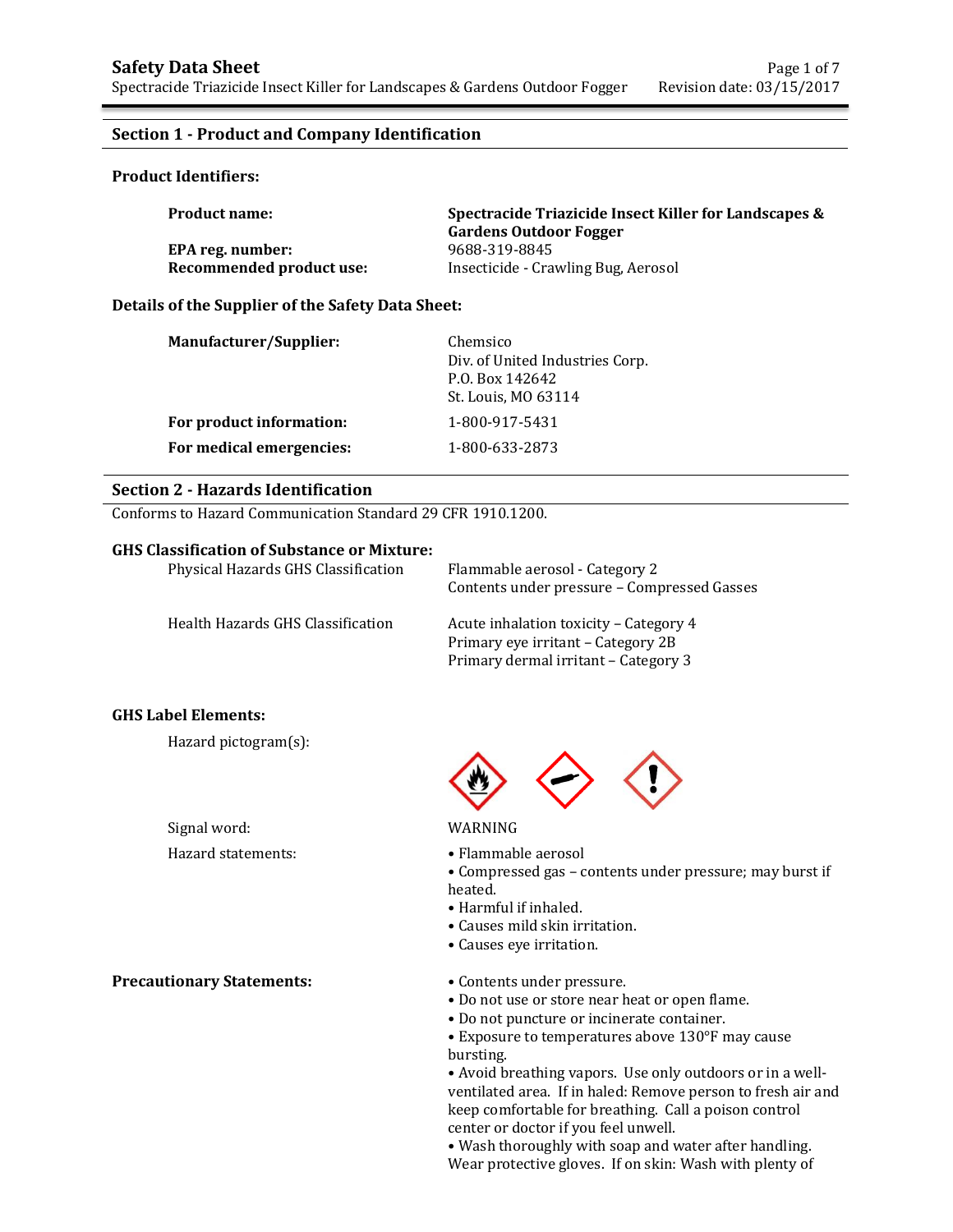## **Section 1 - Product and Company Identification**

### **Product Identifiers:**

| <b>Product name:</b>     | Spectracide Triazicide Insect Killer for Landscapes &<br><b>Gardens Outdoor Fogger</b> |  |
|--------------------------|----------------------------------------------------------------------------------------|--|
| EPA reg. number:         | 9688-319-8845                                                                          |  |
| Recommended product use: | Insecticide - Crawling Bug, Aerosol                                                    |  |

## **Details of the Supplier of the Safety Data Sheet:**

| Manufacturer/Supplier:   | Chemsico<br>Div. of United Industries Corp.<br>P.O. Box 142642<br>St. Louis, MO 63114 |
|--------------------------|---------------------------------------------------------------------------------------|
| For product information: | 1-800-917-5431                                                                        |
| For medical emergencies: | 1-800-633-2873                                                                        |

### **Section 2 - Hazards Identification**

Conforms to Hazard Communication Standard 29 CFR 1910.1200.

### **GHS Classification of Substance or Mixture:**

| Physical Hazards GHS Classification | Flammable aerosol - Category 2<br>Contents under pressure - Compressed Gasses |
|-------------------------------------|-------------------------------------------------------------------------------|
| Health Hazards GHS Classification   | Acute inhalation toxicity - Category 4<br>Primary eye irritant – Category 2B  |
|                                     | Primary dermal irritant – Category 3                                          |

### **GHS Label Elements:**

Hazard pictogram(s):

Signal word: WARNING

**Precautionary Statements:** • Contents under pressure.



- Hazard statements: • Flammable aerosol
	- Compressed gas contents under pressure; may burst if heated.
	- Harmful if inhaled.
	- Causes mild skin irritation.
	- Causes eye irritation.
	-
	- Do not use or store near heat or open flame.
	- Do not puncture or incinerate container.
	- Exposure to temperatures above 130°F may cause bursting.

• Avoid breathing vapors. Use only outdoors or in a wellventilated area. If in haled: Remove person to fresh air and keep comfortable for breathing. Call a poison control center or doctor if you feel unwell.

• Wash thoroughly with soap and water after handling. Wear protective gloves. If on skin: Wash with plenty of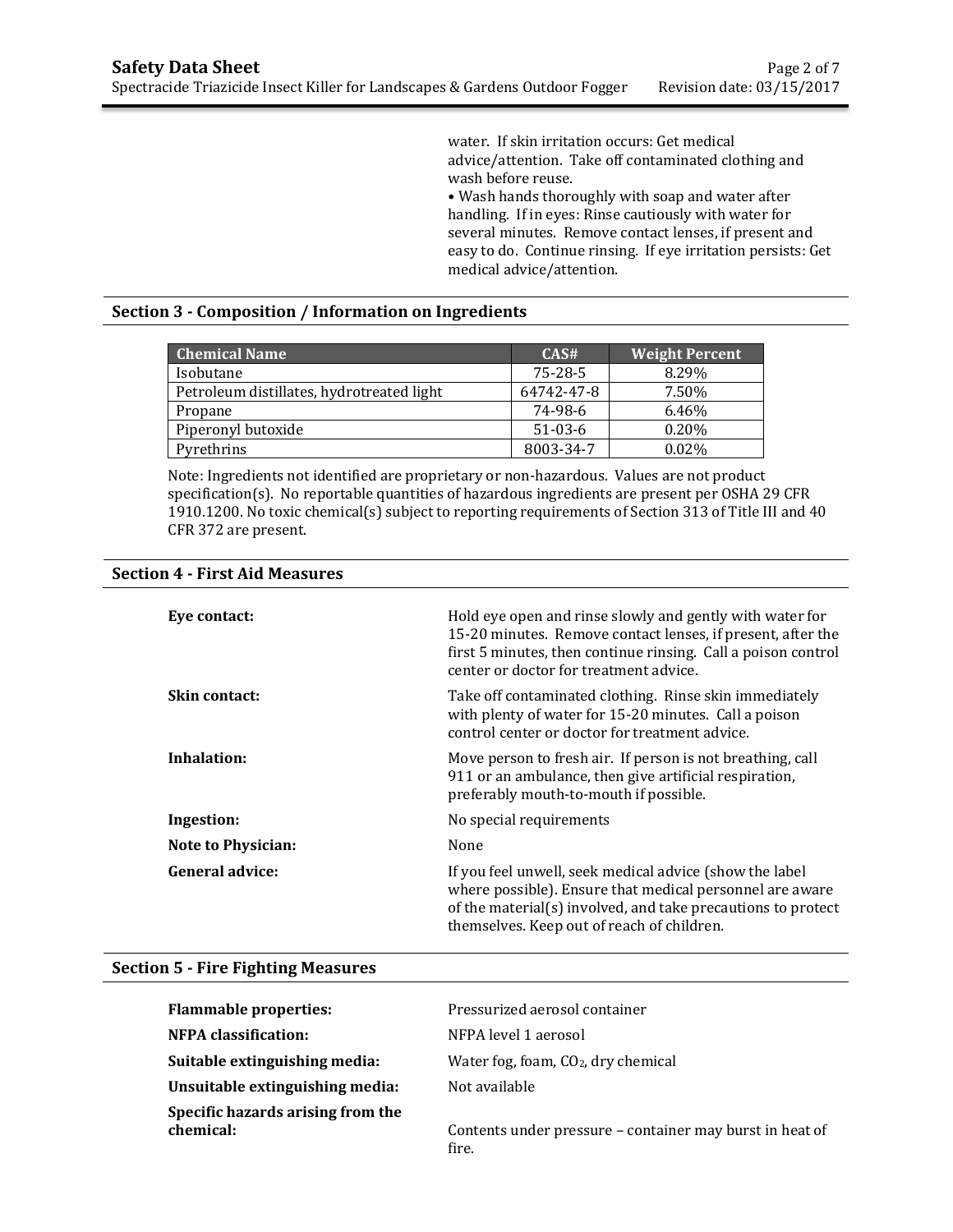water. If skin irritation occurs: Get medical advice/attention. Take off contaminated clothing and wash before reuse.

• Wash hands thoroughly with soap and water after handling. If in eyes: Rinse cautiously with water for several minutes. Remove contact lenses, if present and easy to do. Continue rinsing. If eye irritation persists: Get medical advice/attention.

## **Section 3 - Composition / Information on Ingredients**

| <b>Chemical Name</b>                      | CAS#          | <b>Weight Percent</b> |
|-------------------------------------------|---------------|-----------------------|
| Isobutane                                 | $75 - 28 - 5$ | 8.29%                 |
| Petroleum distillates, hydrotreated light | 64742-47-8    | 7.50%                 |
| Propane                                   | 74-98-6       | 6.46%                 |
| Piperonyl butoxide                        | $51-03-6$     | 0.20%                 |
| Pyrethrins                                | 8003-34-7     | 0.02%                 |

Note: Ingredients not identified are proprietary or non-hazardous. Values are not product specification(s). No reportable quantities of hazardous ingredients are present per OSHA 29 CFR 1910.1200. No toxic chemical(s) subject to reporting requirements of Section 313 of Title III and 40 CFR 372 are present.

| Eve contact:              | Hold eye open and rinse slowly and gently with water for<br>15-20 minutes. Remove contact lenses, if present, after the<br>first 5 minutes, then continue rinsing. Call a poison control<br>center or doctor for treatment advice. |
|---------------------------|------------------------------------------------------------------------------------------------------------------------------------------------------------------------------------------------------------------------------------|
| Skin contact:             | Take off contaminated clothing. Rinse skin immediately<br>with plenty of water for 15-20 minutes. Call a poison<br>control center or doctor for treatment advice.                                                                  |
| Inhalation:               | Move person to fresh air. If person is not breathing, call<br>911 or an ambulance, then give artificial respiration,<br>preferably mouth-to-mouth if possible.                                                                     |
| Ingestion:                | No special requirements                                                                                                                                                                                                            |
| <b>Note to Physician:</b> | None                                                                                                                                                                                                                               |
| General advice:           | If you feel unwell, seek medical advice (show the label<br>where possible). Ensure that medical personnel are aware<br>of the material(s) involved, and take precautions to protect<br>themselves. Keep out of reach of children.  |

# **Section 4 - First Aid Measures**

### **Section 5 - Fire Fighting Measures**

| <b>Flammable properties:</b>                   | Pressurized aerosol container                                     |
|------------------------------------------------|-------------------------------------------------------------------|
| NFPA classification:                           | NFPA level 1 aerosol                                              |
| Suitable extinguishing media:                  | Water fog, foam, $CO2$ , dry chemical                             |
| Unsuitable extinguishing media:                | Not available                                                     |
| Specific hazards arising from the<br>chemical: | Contents under pressure – container may burst in heat of<br>fire. |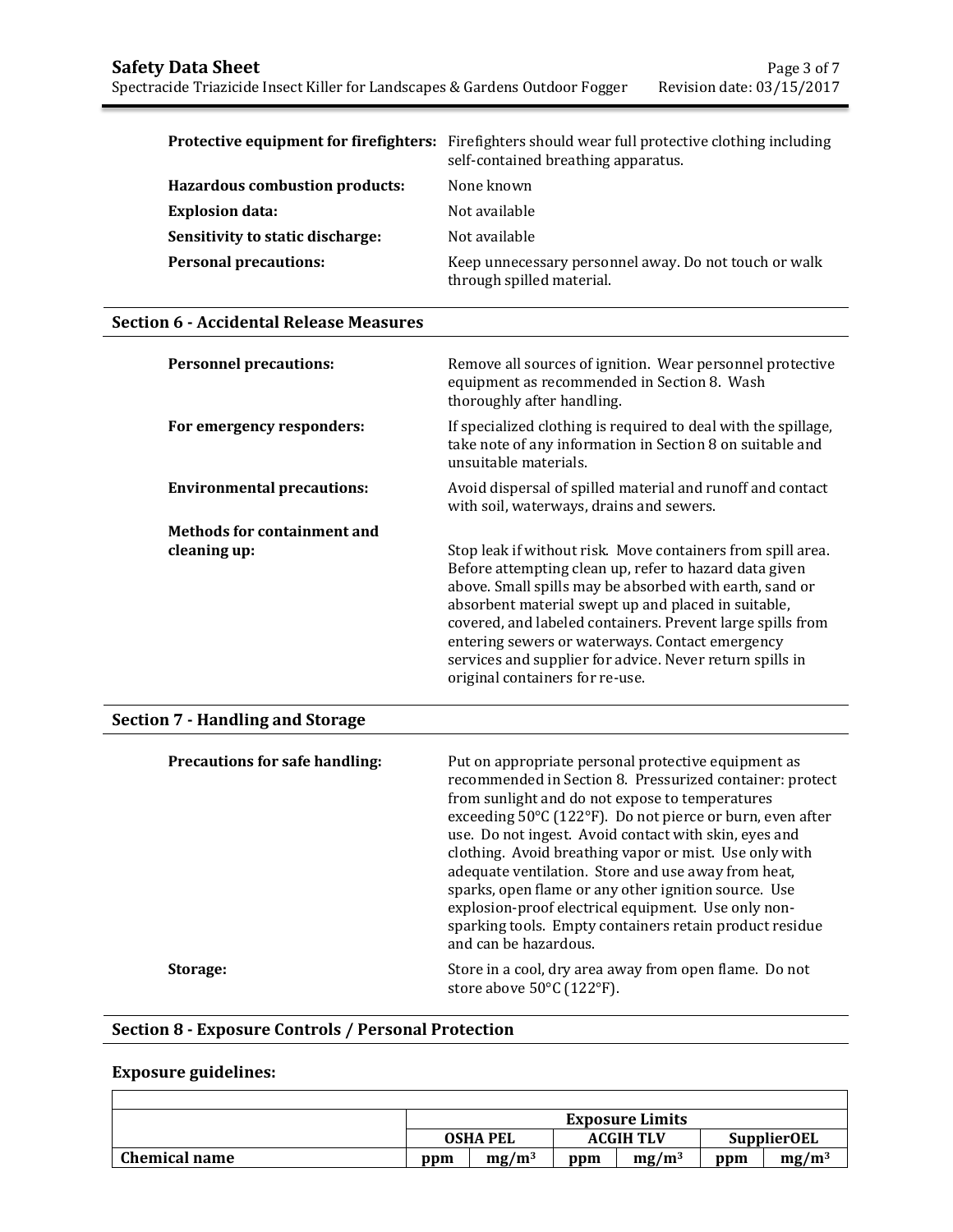|                                  | <b>Protective equipment for firefighters:</b> Firefighters should wear full protective clothing including<br>self-contained breathing apparatus. |
|----------------------------------|--------------------------------------------------------------------------------------------------------------------------------------------------|
| Hazardous combustion products:   | None known                                                                                                                                       |
| <b>Explosion data:</b>           | Not available                                                                                                                                    |
| Sensitivity to static discharge: | Not available                                                                                                                                    |
| <b>Personal precautions:</b>     | Keep unnecessary personnel away. Do not touch or walk<br>through spilled material.                                                               |

## **Section 6 - Accidental Release Measures**

| <b>Personnel precautions:</b>      | Remove all sources of ignition. Wear personnel protective<br>equipment as recommended in Section 8. Wash<br>thoroughly after handling.                                                                                                                                                                                                                                                                                                                  |
|------------------------------------|---------------------------------------------------------------------------------------------------------------------------------------------------------------------------------------------------------------------------------------------------------------------------------------------------------------------------------------------------------------------------------------------------------------------------------------------------------|
| For emergency responders:          | If specialized clothing is required to deal with the spillage,<br>take note of any information in Section 8 on suitable and<br>unsuitable materials.                                                                                                                                                                                                                                                                                                    |
| <b>Environmental precautions:</b>  | Avoid dispersal of spilled material and runoff and contact<br>with soil, waterways, drains and sewers.                                                                                                                                                                                                                                                                                                                                                  |
| <b>Methods for containment and</b> |                                                                                                                                                                                                                                                                                                                                                                                                                                                         |
| cleaning up:                       | Stop leak if without risk. Move containers from spill area.<br>Before attempting clean up, refer to hazard data given<br>above. Small spills may be absorbed with earth, sand or<br>absorbent material swept up and placed in suitable,<br>covered, and labeled containers. Prevent large spills from<br>entering sewers or waterways. Contact emergency<br>services and supplier for advice. Never return spills in<br>original containers for re-use. |

# **Section 7 - Handling and Storage**

| <b>Precautions for safe handling:</b> | Put on appropriate personal protective equipment as<br>recommended in Section 8. Pressurized container: protect<br>from sunlight and do not expose to temperatures<br>exceeding 50°C (122°F). Do not pierce or burn, even after<br>use. Do not ingest. Avoid contact with skin, eyes and<br>clothing. Avoid breathing vapor or mist. Use only with<br>adequate ventilation. Store and use away from heat,<br>sparks, open flame or any other ignition source. Use<br>explosion-proof electrical equipment. Use only non-<br>sparking tools. Empty containers retain product residue<br>and can be hazardous. |
|---------------------------------------|--------------------------------------------------------------------------------------------------------------------------------------------------------------------------------------------------------------------------------------------------------------------------------------------------------------------------------------------------------------------------------------------------------------------------------------------------------------------------------------------------------------------------------------------------------------------------------------------------------------|
| Storage:                              | Store in a cool, dry area away from open flame. Do not<br>store above 50°C (122°F).                                                                                                                                                                                                                                                                                                                                                                                                                                                                                                                          |

# **Section 8 - Exposure Controls / Personal Protection**

# **Exposure guidelines:**

|                      |                 |          |                  | <b>Exposure Limits</b> |     |                    |
|----------------------|-----------------|----------|------------------|------------------------|-----|--------------------|
|                      | <b>OSHA PEL</b> |          | <b>ACGIH TLV</b> |                        |     | <b>SupplierOEL</b> |
| <b>Chemical name</b> | ppm             | $mg/m^3$ | ppm              | $mg/m^3$               | ppm | $mg/m^3$           |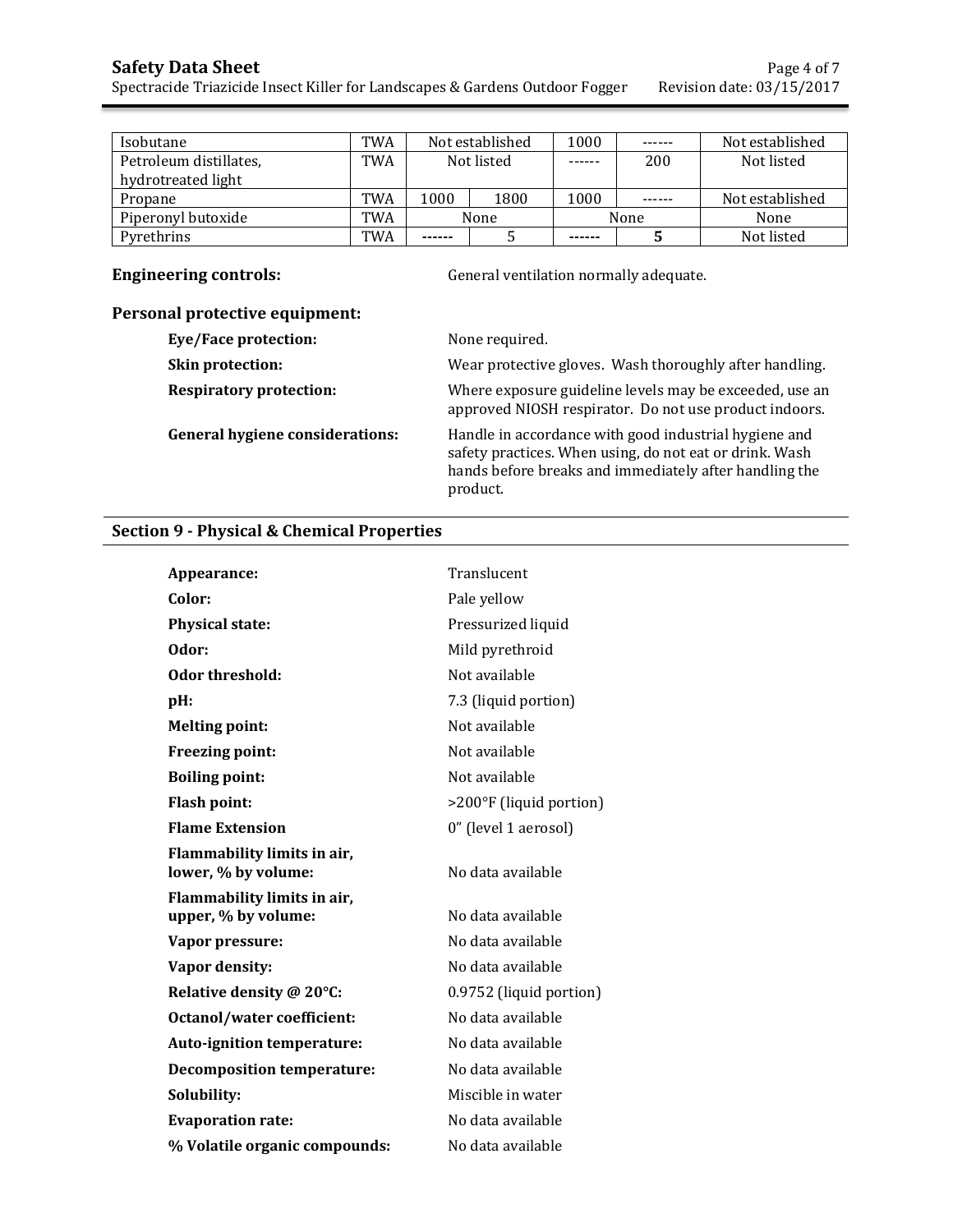| Isobutane              | TWA | Not established |      | 1000   | ------ | Not established |
|------------------------|-----|-----------------|------|--------|--------|-----------------|
| Petroleum distillates, | TWA | Not listed      |      | ------ | 200    | Not listed      |
| hydrotreated light     |     |                 |      |        |        |                 |
| Propane                | TWA | 1000            | 1800 | 1000   |        | Not established |
| Piperonyl butoxide     | TWA | None            |      |        | None   | None            |
| Pvrethrins             | TWA | ------          |      | ------ |        | Not listed      |

**Engineering controls: General ventilation normally adequate.** 

# **Personal protective equipment:**

| Eye/Face protection:                   | None required.                                                                                                                                                                         |
|----------------------------------------|----------------------------------------------------------------------------------------------------------------------------------------------------------------------------------------|
| Skin protection:                       | Wear protective gloves. Wash thoroughly after handling.                                                                                                                                |
| <b>Respiratory protection:</b>         | Where exposure guideline levels may be exceeded, use an<br>approved NIOSH respirator. Do not use product indoors.                                                                      |
| <b>General hygiene considerations:</b> | Handle in accordance with good industrial hygiene and<br>safety practices. When using, do not eat or drink. Wash<br>hands before breaks and immediately after handling the<br>product. |

# **Section 9 - Physical & Chemical Properties**

| Appearance:                                        | Translucent             |
|----------------------------------------------------|-------------------------|
| Color:                                             | Pale yellow             |
| Physical state:                                    | Pressurized liquid      |
| Odor:                                              | Mild pyrethroid         |
| Odor threshold:                                    | Not available           |
| pH:                                                | 7.3 (liquid portion)    |
| <b>Melting point:</b>                              | Not available           |
| Freezing point:                                    | Not available           |
| <b>Boiling point:</b>                              | Not available           |
| <b>Flash point:</b>                                | >200°F (liquid portion) |
| <b>Flame Extension</b>                             | 0" (level 1 aerosol)    |
| Flammability limits in air,<br>lower, % by volume: | No data available       |
| Flammability limits in air,<br>upper, % by volume: | No data available       |
| Vapor pressure:                                    | No data available       |
| Vapor density:                                     | No data available       |
| Relative density @ 20°C:                           | 0.9752 (liquid portion) |
| Octanol/water coefficient:                         | No data available       |
| Auto-ignition temperature:                         | No data available       |
| <b>Decomposition temperature:</b>                  | No data available       |
| Solubility:                                        | Miscible in water       |
| <b>Evaporation rate:</b>                           | No data available       |
| % Volatile organic compounds:                      | No data available       |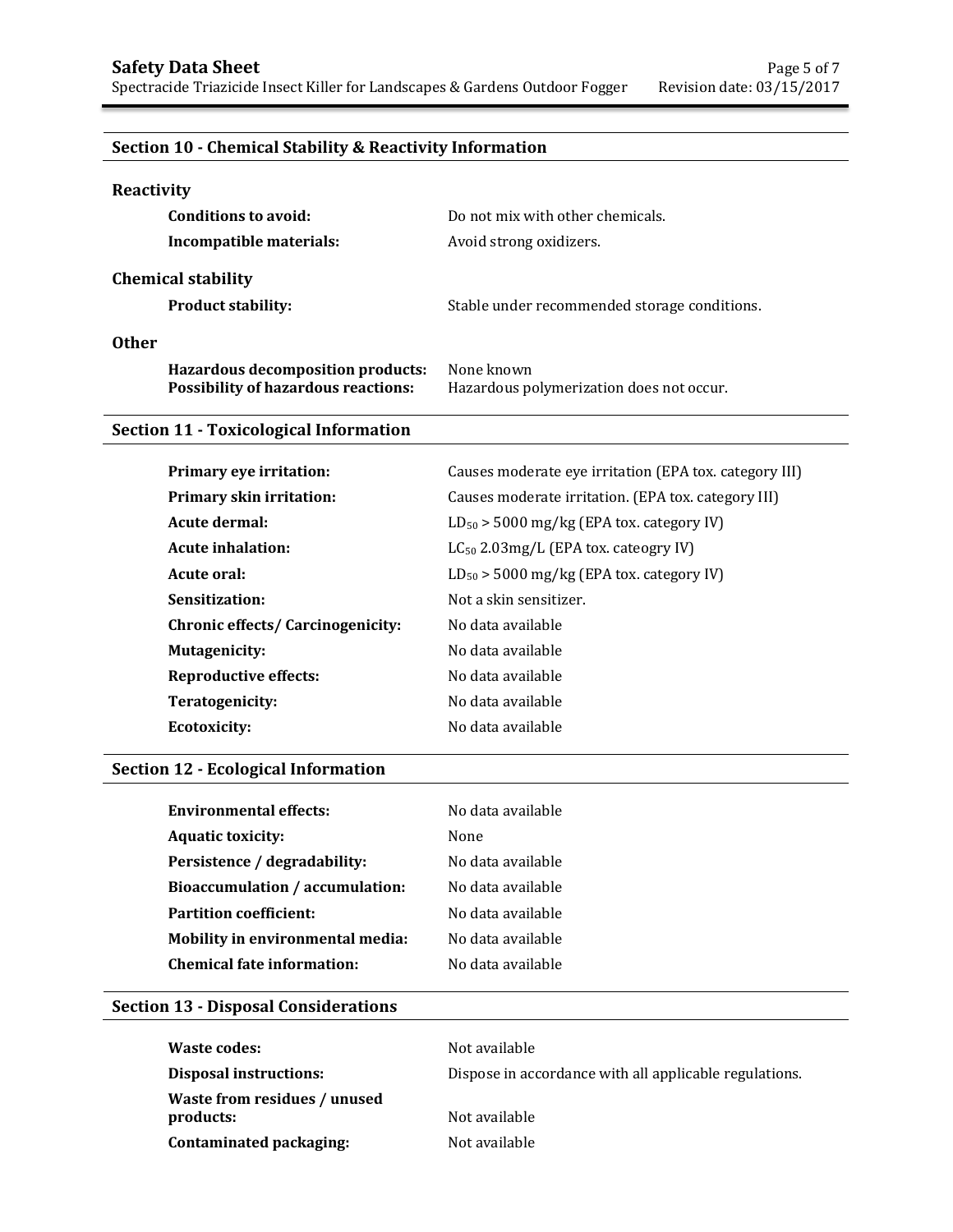# **Section 10 - Chemical Stability & Reactivity Information**

| Reactivity                                                                      |                                                        |
|---------------------------------------------------------------------------------|--------------------------------------------------------|
| Conditions to avoid:                                                            | Do not mix with other chemicals.                       |
| Incompatible materials:                                                         | Avoid strong oxidizers.                                |
| <b>Chemical stability</b>                                                       |                                                        |
| <b>Product stability:</b>                                                       | Stable under recommended storage conditions.           |
| <b>Other</b>                                                                    |                                                        |
| Hazardous decomposition products:<br><b>Possibility of hazardous reactions:</b> | None known<br>Hazardous polymerization does not occur. |

# **Section 11 - Toxicological Information**

| Primary eye irritation:           | Causes moderate eye irritation (EPA tox. category III) |
|-----------------------------------|--------------------------------------------------------|
| <b>Primary skin irritation:</b>   | Causes moderate irritation. (EPA tox. category III)    |
| Acute dermal:                     | $LD_{50}$ > 5000 mg/kg (EPA tox. category IV)          |
| Acute inhalation:                 | $LC_{50}$ 2.03mg/L (EPA tox. cateogry IV)              |
| Acute oral:                       | $LD_{50}$ > 5000 mg/kg (EPA tox. category IV)          |
| Sensitization:                    | Not a skin sensitizer.                                 |
| Chronic effects/ Carcinogenicity: | No data available                                      |
| Mutagenicity:                     | No data available                                      |
| <b>Reproductive effects:</b>      | No data available                                      |
| Teratogenicity:                   | No data available                                      |
| <b>Ecotoxicity:</b>               | No data available                                      |

# **Section 12 - Ecological Information**

| No data available |
|-------------------|
| None              |
| No data available |
| No data available |
| No data available |
| No data available |
| No data available |
|                   |

## **Section 13 - Disposal Considerations**

| Waste codes:                              | Not available                                          |
|-------------------------------------------|--------------------------------------------------------|
| Disposal instructions:                    | Dispose in accordance with all applicable regulations. |
| Waste from residues / unused<br>products: | Not available                                          |
| Contaminated packaging:                   | Not available                                          |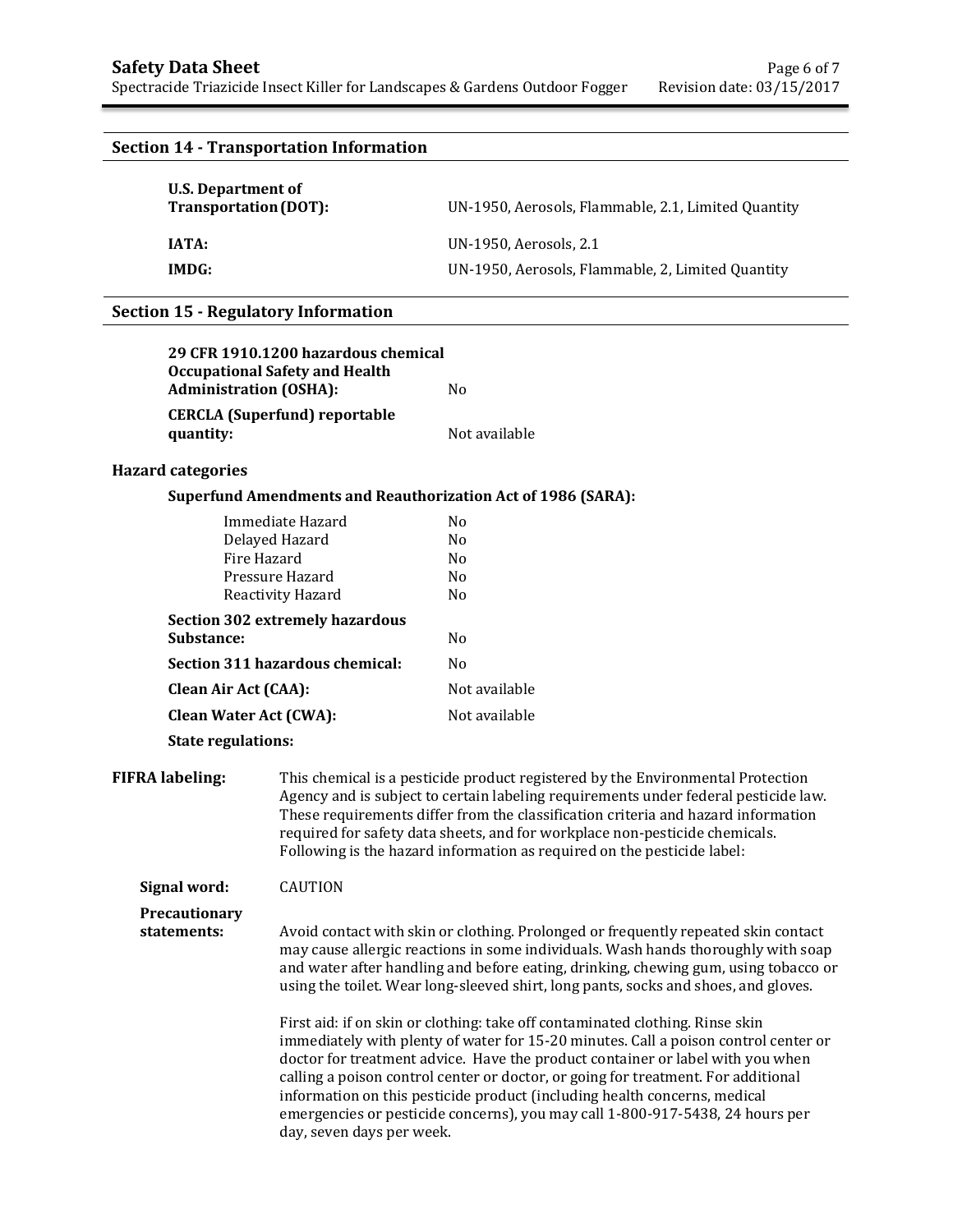# **Section 14 - Transportation Information**

| U.S. Department of<br>Transportation (DOT): | UN-1950, Aerosols, Flammable, 2.1, Limited Quantity |
|---------------------------------------------|-----------------------------------------------------|
| IATA:                                       | UN-1950, Aerosols, 2.1                              |
| IMDG:                                       | UN-1950, Aerosols, Flammable, 2, Limited Quantity   |

### **Section 15 - Regulatory Information**

| 29 CFR 1910.1200 hazardous chemical   |               |
|---------------------------------------|---------------|
| <b>Occupational Safety and Health</b> |               |
| <b>Administration (OSHA):</b>         | N٥            |
| <b>CERCLA</b> (Superfund) reportable  |               |
| quantity:                             | Not available |

## **Hazard categories**

### **Superfund Amendments and Reauthorization Act of 1986 (SARA):**

| Immediate Hazard                | No             |
|---------------------------------|----------------|
| Delayed Hazard                  | N <sub>0</sub> |
| Fire Hazard                     | N <sub>0</sub> |
| Pressure Hazard                 | N <sub>0</sub> |
| Reactivity Hazard               | N <sub>0</sub> |
| Section 302 extremely hazardous |                |
| <b>Substance:</b>               | N <sub>0</sub> |
| Section 311 hazardous chemical: | No             |
| <b>Clean Air Act (CAA):</b>     | Not available  |
| Clean Water Act (CWA):          | Not available  |
|                                 |                |

**State regulations:**

**FIFRA labeling:** This chemical is a pesticide product registered by the Environmental Protection Agency and is subject to certain labeling requirements under federal pesticide law. These requirements differ from the classification criteria and hazard information required for safety data sheets, and for workplace non-pesticide chemicals. Following is the hazard information as required on the pesticide label:

**Signal word:** CAUTION

**Precautionary** 

**statements:** Avoid contact with skin or clothing. Prolonged or frequently repeated skin contact may cause allergic reactions in some individuals. Wash hands thoroughly with soap and water after handling and before eating, drinking, chewing gum, using tobacco or using the toilet. Wear long-sleeved shirt, long pants, socks and shoes, and gloves.

> First aid: if on skin or clothing: take off contaminated clothing. Rinse skin immediately with plenty of water for 15-20 minutes. Call a poison control center or doctor for treatment advice. Have the product container or label with you when calling a poison control center or doctor, or going for treatment. For additional information on this pesticide product (including health concerns, medical emergencies or pesticide concerns), you may call 1-800-917-5438, 24 hours per day, seven days per week.